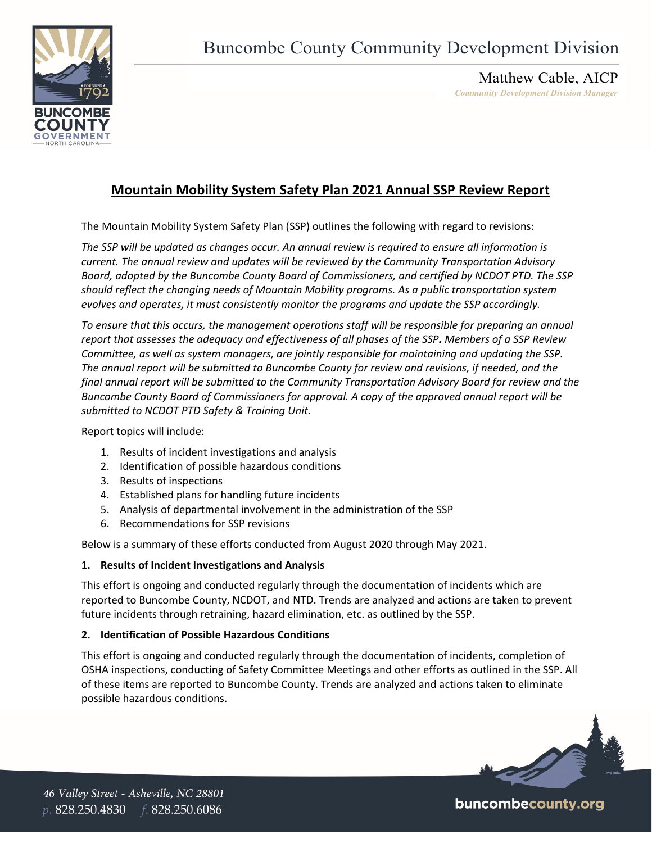

Matthew Cable, AICP *Community Development Division Manager* 

# **Mountain Mobility System Safety Plan 2021 Annual SSP Review Report**

The Mountain Mobility System Safety Plan (SSP) outlines the following with regard to revisions:

The SSP will be updated as changes occur. An annual review is required to ensure all information is *current. The annual review and updates will be reviewed by the Community Transportation Advisory Board, adopted by the Buncombe County Board of Commissioners, and certified by NCDOT PTD. The SSP should reflect the changing needs of Mountain Mobility programs. As a public transportation system evolves and operates, it must consistently monitor the programs and update the SSP accordingly.* 

*To ensure that this occurs, the management operations staff will be responsible for preparing an annual* report that assesses the adequacy and effectiveness of all phases of the SSP. Members of a SSP Review *Committee, as well as system managers, are jointly responsible for maintaining and updating the SSP. The annual report will be submitted to Buncombe County for review and revisions, if needed, and the final annual report will be submitted to the Community Transportation Advisory Board for review and the Buncombe County Board of Commissioners for approval. A copy of the approved annual report will be submitted to NCDOT PTD Safety & Training Unit.*

Report topics will include:

- 1. Results of incident investigations and analysis
- 2. Identification of possible hazardous conditions
- 3. Results of inspections
- 4. Established plans for handling future incidents
- 5. Analysis of departmental involvement in the administration of the SSP
- 6. Recommendations for SSP revisions

Below is a summary of these efforts conducted from August 2020 through May 2021.

## **1. Results of Incident Investigations and Analysis**

This effort is ongoing and conducted regularly through the documentation of incidents which are reported to Buncombe County, NCDOT, and NTD. Trends are analyzed and actions are taken to prevent future incidents through retraining, hazard elimination, etc. as outlined by the SSP.

## **2. Identification of Possible Hazardous Conditions**

This effort is ongoing and conducted regularly through the documentation of incidents, completion of OSHA inspections, conducting of Safety Committee Meetings and other efforts as outlined in the SSP. All of these items are reported to Buncombe County. Trends are analyzed and actions taken to eliminate possible hazardous conditions.



buncombecounty.org